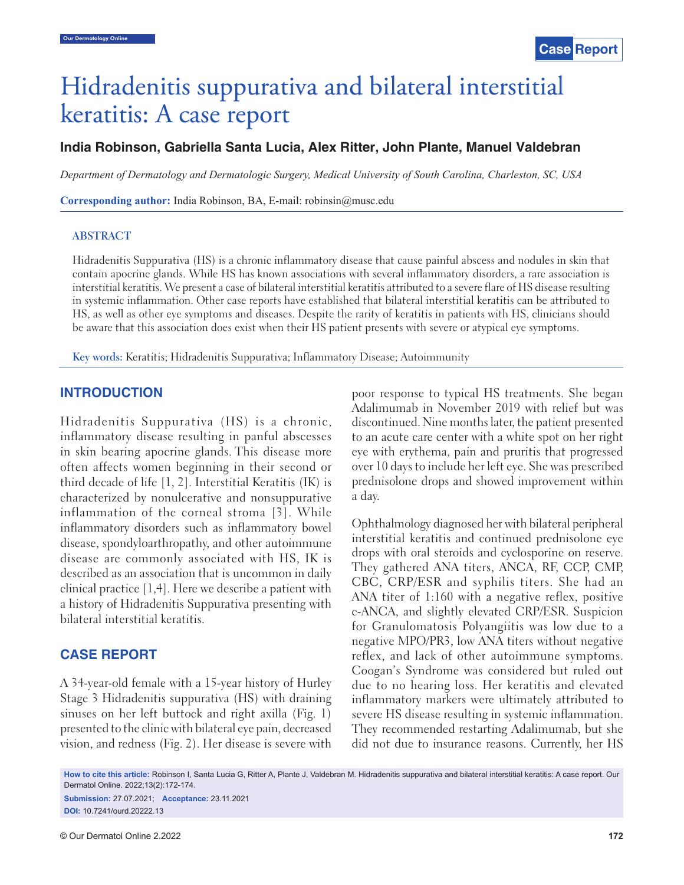# Hidradenitis suppurativa and bilateral interstitial keratitis: A case report

## **India Robinson, Gabriella Santa Lucia, Alex Ritter, John Plante, Manuel Valdebran**

*Department of Dermatology and Dermatologic Surgery, Medical University of South Carolina, Charleston, SC, USA*

**Corresponding author:** India Robinson, BA, E-mail: robinsin@musc.edu

#### **ABSTRACT**

Hidradenitis Suppurativa (HS) is a chronic inflammatory disease that cause painful abscess and nodules in skin that contain apocrine glands. While HS has known associations with several inflammatory disorders, a rare association is interstitial keratitis. We present a case of bilateral interstitial keratitis attributed to a severe flare of HS disease resulting in systemic inflammation. Other case reports have established that bilateral interstitial keratitis can be attributed to HS, as well as other eye symptoms and diseases. Despite the rarity of keratitis in patients with HS, clinicians should be aware that this association does exist when their HS patient presents with severe or atypical eye symptoms.

**Key words:** Keratitis; Hidradenitis Suppurativa; Inflammatory Disease; Autoimmunity

### **INTRODUCTION**

Hidradenitis Suppurativa (HS) is a chronic, inflammatory disease resulting in panful abscesses in skin bearing apocrine glands. This disease more often affects women beginning in their second or third decade of life [1, 2]. Interstitial Keratitis (IK) is characterized by nonulcerative and nonsuppurative inflammation of the corneal stroma [3]. While inflammatory disorders such as inflammatory bowel disease, spondyloarthropathy, and other autoimmune disease are commonly associated with HS, IK is described as an association that is uncommon in daily clinical practice [1,4]. Here we describe a patient with a history of Hidradenitis Suppurativa presenting with bilateral interstitial keratitis.

#### **CASE REPORT**

A 34-year-old female with a 15-year history of Hurley Stage 3 Hidradenitis suppurativa (HS) with draining sinuses on her left buttock and right axilla (Fig. 1) presented to the clinic with bilateral eye pain, decreased vision, and redness (Fig. 2). Her disease is severe with poor response to typical HS treatments. She began Adalimumab in November 2019 with relief but was discontinued. Nine months later, the patient presented to an acute care center with a white spot on her right eye with erythema, pain and pruritis that progressed over 10 days to include her left eye. She was prescribed prednisolone drops and showed improvement within a day.

Ophthalmology diagnosed her with bilateral peripheral interstitial keratitis and continued prednisolone eye drops with oral steroids and cyclosporine on reserve. They gathered ANA titers, ANCA, RF, CCP, CMP, CBC, CRP/ESR and syphilis titers. She had an ANA titer of 1:160 with a negative reflex, positive c-ANCA, and slightly elevated CRP/ESR. Suspicion for Granulomatosis Polyangiitis was low due to a negative MPO/PR3, low ANA titers without negative reflex, and lack of other autoimmune symptoms. Coogan's Syndrome was considered but ruled out due to no hearing loss. Her keratitis and elevated inflammatory markers were ultimately attributed to severe HS disease resulting in systemic inflammation. They recommended restarting Adalimumab, but she did not due to insurance reasons. Currently, her HS

**How to cite this article:** Robinson I, Santa Lucia G, Ritter A, Plante J, Valdebran M. Hidradenitis suppurativa and bilateral interstitial keratitis: A case report. Our Dermatol Online. 2022;13(2):172-174.

**Submission:** 27.07.2021; **Acceptance:** 23.11.2021 **DOI:** 10.7241/ourd.20222.13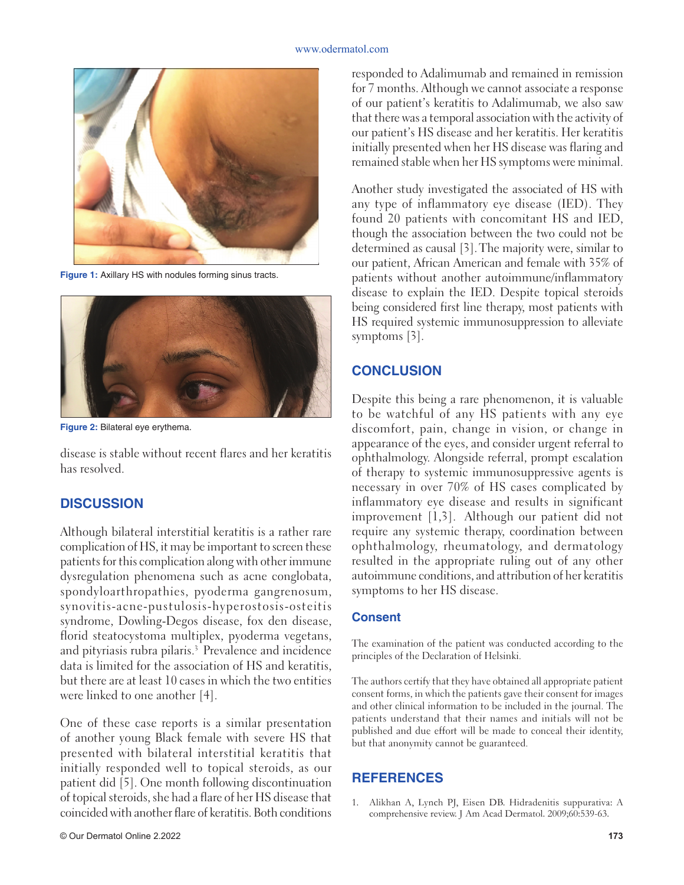

**Figure 1:** Axillary HS with nodules forming sinus tracts.



**Figure 2:** Bilateral eye erythema.

disease is stable without recent flares and her keratitis has resolved.

## **DISCUSSION**

Although bilateral interstitial keratitis is a rather rare complication of HS, it may be important to screen these patients for this complication along with other immune dysregulation phenomena such as acne conglobata, spondyloarthropathies, pyoderma gangrenosum, synovitis-acne-pustulosis-hyperostosis-osteitis syndrome, Dowling-Degos disease, fox den disease, florid steatocystoma multiplex, pyoderma vegetans, and pityriasis rubra pilaris.<sup>3</sup> Prevalence and incidence data is limited for the association of HS and keratitis, but there are at least 10 cases in which the two entities were linked to one another [4].

One of these case reports is a similar presentation of another young Black female with severe HS that presented with bilateral interstitial keratitis that initially responded well to topical steroids, as our patient did [5]. One month following discontinuation of topical steroids, she had a flare of her HS disease that coincided with another flare of keratitis. Both conditions responded to Adalimumab and remained in remission for 7 months. Although we cannot associate a response of our patient's keratitis to Adalimumab, we also saw that there was a temporal association with the activity of our patient's HS disease and her keratitis. Her keratitis initially presented when her HS disease was flaring and remained stable when her HS symptoms were minimal.

Another study investigated the associated of HS with any type of inflammatory eye disease (IED). They found 20 patients with concomitant HS and IED, though the association between the two could not be determined as causal [3].The majority were, similar to our patient, African American and female with 35% of patients without another autoimmune/inflammatory disease to explain the IED. Despite topical steroids being considered first line therapy, most patients with HS required systemic immunosuppression to alleviate symptoms [3].

## **CONCLUSION**

Despite this being a rare phenomenon, it is valuable to be watchful of any HS patients with any eye discomfort, pain, change in vision, or change in appearance of the eyes, and consider urgent referral to ophthalmology. Alongside referral, prompt escalation of therapy to systemic immunosuppressive agents is necessary in over 70% of HS cases complicated by inflammatory eye disease and results in significant improvement [1,3]. Although our patient did not require any systemic therapy, coordination between ophthalmology, rheumatology, and dermatology resulted in the appropriate ruling out of any other autoimmune conditions, and attribution of her keratitis symptoms to her HS disease.

## **Consent**

The examination of the patient was conducted according to the principles of the Declaration of Helsinki.

The authors certify that they have obtained all appropriate patient consent forms, in which the patients gave their consent for images and other clinical information to be included in the journal. The patients understand that their names and initials will not be published and due effort will be made to conceal their identity, but that anonymity cannot be guaranteed.

## **REFERENCES**

1. Alikhan A, Lynch PJ, Eisen DB. Hidradenitis suppurativa: A comprehensive review. J Am Acad Dermatol. 2009;60:539-63.